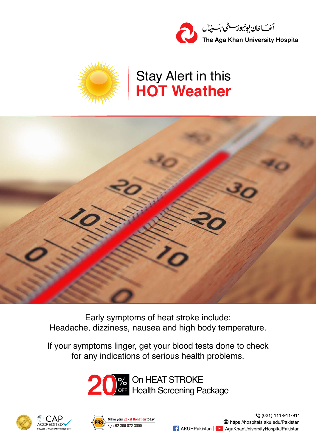



## **HOT Weather** Stay Alert in this



Early symptoms of heat stroke include: Headache, dizziness, nausea and high body temperature.

If your symptoms linger, get your blood tests done to check for any indications of serious health problems.







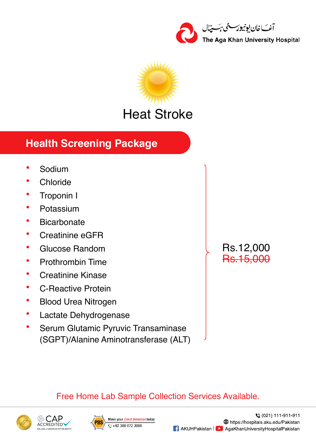



## **Health Screening Package**

- **·** Chloride
- **·** Troponin I
- **·** Potassium
- **·** Bicarbonate
- **·** Creatinine eGFR
- **·** Glucose Random
- **·** Prothrombin Time
- **·** Creatinine Kinase
- **·** C-Reactive Protein
- **·** Blood Urea Nitrogen
- Lactate Dehydrogenase
- **·** Serum Glutamic Pyruvic Transaminase (SGPT)/Alanine Aminotransferase (ALT)

Rs.12,000 Rs.15,000

## Free Home Lab Sample Collection Services Available.





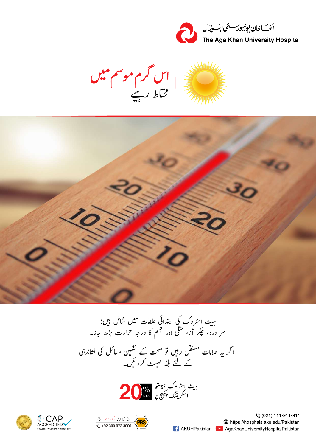